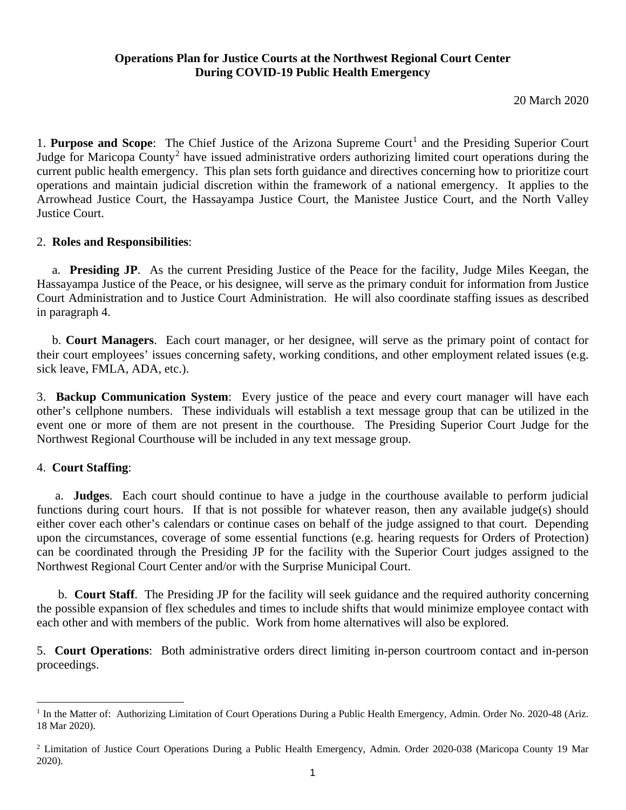### **Operations Plan for Justice Courts at the Northwest Regional Court Center During COVID-19 Public Health Emergency**

20 March 2020

[1](#page-0-0). **Purpose and Scope**: The Chief Justice of the Arizona Supreme Court<sup>1</sup> and the Presiding Superior Court Judge for Maricopa County<sup>[2](#page-0-1)</sup> have issued administrative orders authorizing limited court operations during the current public health emergency. This plan sets forth guidance and directives concerning how to prioritize court operations and maintain judicial discretion within the framework of a national emergency. It applies to the Arrowhead Justice Court, the Hassayampa Justice Court, the Manistee Justice Court, and the North Valley Justice Court.

#### 2. **Roles and Responsibilities**:

 a. **Presiding JP**. As the current Presiding Justice of the Peace for the facility, Judge Miles Keegan, the Hassayampa Justice of the Peace, or his designee, will serve as the primary conduit for information from Justice Court Administration and to Justice Court Administration. He will also coordinate staffing issues as described in paragraph 4.

 b. **Court Managers**. Each court manager, or her designee, will serve as the primary point of contact for their court employees' issues concerning safety, working conditions, and other employment related issues (e.g. sick leave, FMLA, ADA, etc.).

3. **Backup Communication System**: Every justice of the peace and every court manager will have each other's cellphone numbers. These individuals will establish a text message group that can be utilized in the event one or more of them are not present in the courthouse. The Presiding Superior Court Judge for the Northwest Regional Courthouse will be included in any text message group.

# 4. **Court Staffing**:

 a. **Judges**. Each court should continue to have a judge in the courthouse available to perform judicial functions during court hours. If that is not possible for whatever reason, then any available judge(s) should either cover each other's calendars or continue cases on behalf of the judge assigned to that court. Depending upon the circumstances, coverage of some essential functions (e.g. hearing requests for Orders of Protection) can be coordinated through the Presiding JP for the facility with the Superior Court judges assigned to the Northwest Regional Court Center and/or with the Surprise Municipal Court.

 b. **Court Staff**. The Presiding JP for the facility will seek guidance and the required authority concerning the possible expansion of flex schedules and times to include shifts that would minimize employee contact with each other and with members of the public. Work from home alternatives will also be explored.

5. **Court Operations**: Both administrative orders direct limiting in-person courtroom contact and in-person proceedings.

<span id="page-0-0"></span><sup>&</sup>lt;sup>1</sup> In the Matter of: Authorizing Limitation of Court Operations During a Public Health Emergency, Admin. Order No. 2020-48 (Ariz. 18 Mar 2020).

<span id="page-0-1"></span><sup>2</sup> Limitation of Justice Court Operations During a Public Health Emergency, Admin. Order 2020-038 (Maricopa County 19 Mar 2020).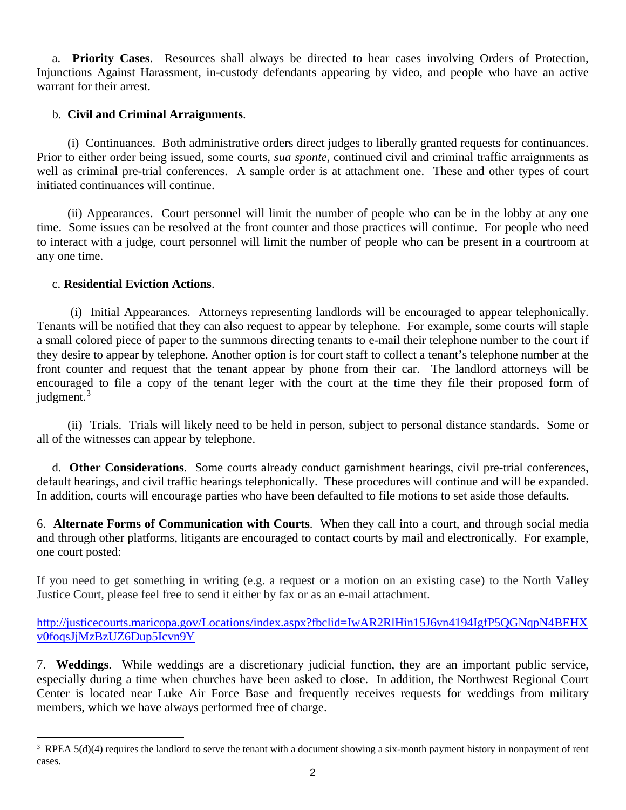a. **Priority Cases**. Resources shall always be directed to hear cases involving Orders of Protection, Injunctions Against Harassment, in-custody defendants appearing by video, and people who have an active warrant for their arrest.

# b. **Civil and Criminal Arraignments**.

 (i) Continuances. Both administrative orders direct judges to liberally granted requests for continuances. Prior to either order being issued, some courts, *sua sponte*, continued civil and criminal traffic arraignments as well as criminal pre-trial conferences. A sample order is at attachment one. These and other types of court initiated continuances will continue.

 (ii) Appearances. Court personnel will limit the number of people who can be in the lobby at any one time. Some issues can be resolved at the front counter and those practices will continue. For people who need to interact with a judge, court personnel will limit the number of people who can be present in a courtroom at any one time.

#### c. **Residential Eviction Actions**.

 (i) Initial Appearances. Attorneys representing landlords will be encouraged to appear telephonically. Tenants will be notified that they can also request to appear by telephone. For example, some courts will staple a small colored piece of paper to the summons directing tenants to e-mail their telephone number to the court if they desire to appear by telephone. Another option is for court staff to collect a tenant's telephone number at the front counter and request that the tenant appear by phone from their car. The landlord attorneys will be encouraged to file a copy of the tenant leger with the court at the time they file their proposed form of judgment.<sup>[3](#page-1-0)</sup>

 (ii) Trials. Trials will likely need to be held in person, subject to personal distance standards. Some or all of the witnesses can appear by telephone.

 d. **Other Considerations**. Some courts already conduct garnishment hearings, civil pre-trial conferences, default hearings, and civil traffic hearings telephonically. These procedures will continue and will be expanded. In addition, courts will encourage parties who have been defaulted to file motions to set aside those defaults.

6. **Alternate Forms of Communication with Courts**. When they call into a court, and through social media and through other platforms, litigants are encouraged to contact courts by mail and electronically. For example, one court posted:

If you need to get something in writing (e.g. a request or a motion on an existing case) to the North Valley Justice Court, please feel free to send it either by fax or as an e-mail attachment.

[http://justicecourts.maricopa.gov/Locations/index.aspx?fbclid=IwAR2RlHin15J6vn4194IgfP5QGNqpN4BEHX](http://justicecourts.maricopa.gov/Locations/index.aspx?fbclid=IwAR2RlHin15J6vn4194IgfP5QGNqpN4BEHXv0foqsJjMzBzUZ6Dup5Icvn9Y) [v0foqsJjMzBzUZ6Dup5Icvn9Y](http://justicecourts.maricopa.gov/Locations/index.aspx?fbclid=IwAR2RlHin15J6vn4194IgfP5QGNqpN4BEHXv0foqsJjMzBzUZ6Dup5Icvn9Y)

7. **Weddings**. While weddings are a discretionary judicial function, they are an important public service, especially during a time when churches have been asked to close. In addition, the Northwest Regional Court Center is located near Luke Air Force Base and frequently receives requests for weddings from military members, which we have always performed free of charge.

<span id="page-1-0"></span> $\frac{1}{3}$ <sup>3</sup> RPEA  $5(d)(4)$  requires the landlord to serve the tenant with a document showing a six-month payment history in nonpayment of rent cases.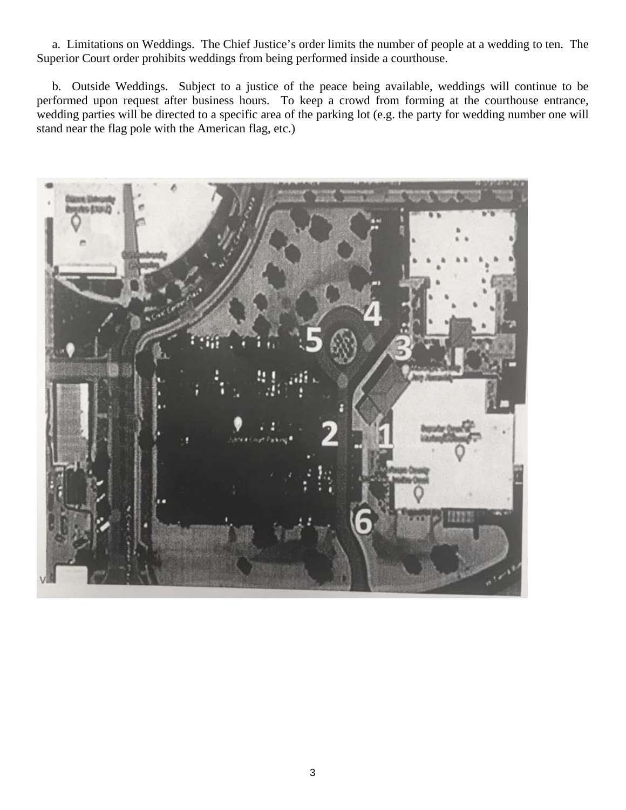a. Limitations on Weddings. The Chief Justice's order limits the number of people at a wedding to ten. The Superior Court order prohibits weddings from being performed inside a courthouse.

 b. Outside Weddings. Subject to a justice of the peace being available, weddings will continue to be performed upon request after business hours. To keep a crowd from forming at the courthouse entrance, wedding parties will be directed to a specific area of the parking lot (e.g. the party for wedding number one will stand near the flag pole with the American flag, etc.)